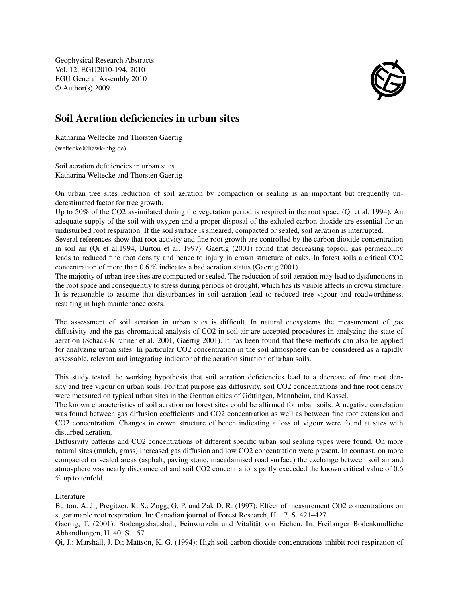Geophysical Research Abstracts Vol. 12, EGU2010-194, 2010 EGU General Assembly 2010 © Author(s) 2009



## Soil Aeration deficiencies in urban sites

Katharina Weltecke and Thorsten Gaertig (weltecke@hawk-hhg.de)

Soil aeration deficiencies in urban sites Katharina Weltecke and Thorsten Gaertig

On urban tree sites reduction of soil aeration by compaction or sealing is an important but frequently underestimated factor for tree growth.

Up to 50% of the CO2 assimilated during the vegetation period is respired in the root space (Qi et al. 1994). An adequate supply of the soil with oxygen and a proper disposal of the exhaled carbon dioxide are essential for an undisturbed root respiration. If the soil surface is smeared, compacted or sealed, soil aeration is interrupted.

Several references show that root activity and fine root growth are controlled by the carbon dioxide concentration in soil air (Qi et al.1994, Burton et al. 1997). Gaertig (2001) found that decreasing topsoil gas permeability leads to reduced fine root density and hence to injury in crown structure of oaks. In forest soils a critical CO2 concentration of more than 0.6 % indicates a bad aeration status (Gaertig 2001).

The majority of urban tree sites are compacted or sealed. The reduction of soil aeration may lead to dysfunctions in the root space and consequently to stress during periods of drought, which has its visible affects in crown structure. It is reasonable to assume that disturbances in soil aeration lead to reduced tree vigour and roadworthiness, resulting in high maintenance costs.

The assessment of soil aeration in urban sites is difficult. In natural ecosystems the measurement of gas diffusivity and the gas-chromatical analysis of CO2 in soil air are accepted procedures in analyzing the state of aeration (Schack-Kirchner et al. 2001, Gaertig 2001). It has been found that these methods can also be applied for analyzing urban sites. In particular CO2 concentration in the soil atmosphere can be considered as a rapidly assessable, relevant and integrating indicator of the aeration situation of urban soils.

This study tested the working hypothesis that soil aeration deficiencies lead to a decrease of fine root density and tree vigour on urban soils. For that purpose gas diffusivity, soil CO2 concentrations and fine root density were measured on typical urban sites in the German cities of Göttingen, Mannheim, and Kassel.

The known characteristics of soil aeration on forest sites could be affirmed for urban soils. A negative correlation was found between gas diffusion coefficients and CO2 concentration as well as between fine root extension and CO2 concentration. Changes in crown structure of beech indicating a loss of vigour were found at sites with disturbed aeration.

Diffusivity patterns and CO2 concentrations of different specific urban soil sealing types were found. On more natural sites (mulch, grass) increased gas diffusion and low CO2 concentration were present. In contrast, on more compacted or sealed areas (asphalt, paving stone, macadamised road surface) the exchange between soil air and atmosphere was nearly disconnected and soil CO2 concentrations partly exceeded the known critical value of 0.6 % up to tenfold.

Literature

Burton, A. J.; Pregitzer, K. S.; Zogg, G. P. und Zak D. R. (1997): Effect of measurement CO2 concentrations on sugar maple root respiration. In: Canadian journal of Forest Research, H. 17, S. 421–427.

Gaertig, T. (2001): Bodengashaushalt, Feinwurzeln und Vitalität von Eichen. In: Freiburger Bodenkundliche Abhandlungen, H. 40, S. 157.

Qi, J.; Marshall, J. D.; Mattson, K. G. (1994): High soil carbon dioxide concentrations inhibit root respiration of